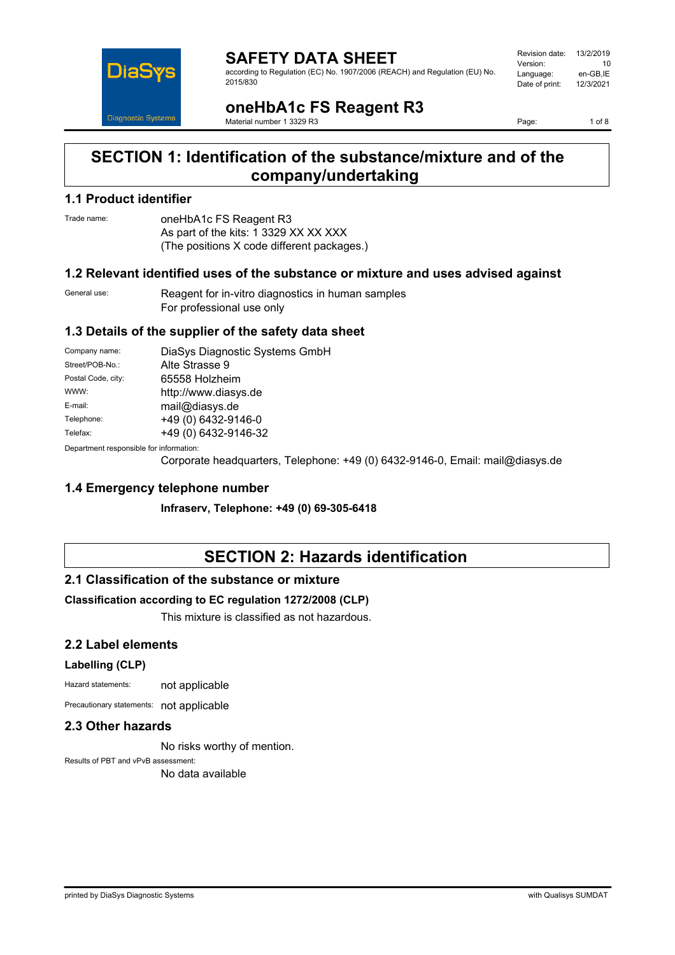

**SAFETY DATA SHEET** according to Regulation (EC) No. 1907/2006 (REACH) and Regulation (EU) No. 2015/830

| Revision date: | 13/2/2019 |
|----------------|-----------|
| Version:       | 10        |
| Language:      | en-GB.IE  |
| Date of print: | 12/3/2021 |
|                |           |

**oneHbA1c FS Reagent R3**

Material number 1 3329 R3

Page: 1 of 8

## **SECTION 1: Identification of the substance/mixture and of the company/undertaking**

## **1.1 Product identifier**

Trade name: oneHbA1c FS Reagent R3 As part of the kits: 1 3329 XX XX XXX (The positions X code different packages.)

### **1.2 Relevant identified uses of the substance or mixture and uses advised against**

General use: Reagent for in-vitro diagnostics in human samples For professional use only

## **1.3 Details of the supplier of the safety data sheet**

| Company name:                           | DiaSys Diagnostic Systems GmbH |
|-----------------------------------------|--------------------------------|
| Street/POB-No.:                         | Alte Strasse 9                 |
| Postal Code, city:                      | 65558 Holzheim                 |
| WWW:                                    | http://www.diasys.de           |
| E-mail:                                 | mail@diasys.de                 |
| Telephone:                              | +49 (0) 6432-9146-0            |
| Telefax:                                | +49 (0) 6432-9146-32           |
| Denamusent recognished for information: |                                |

Department responsible for information:

Corporate headquarters, Telephone: +49 (0) 6432-9146-0, Email: mail@diasys.de

## **1.4 Emergency telephone number**

**Infraserv, Telephone: +49 (0) 69-305-6418**

# **SECTION 2: Hazards identification**

## **2.1 Classification of the substance or mixture**

#### **Classification according to EC regulation 1272/2008 (CLP)**

This mixture is classified as not hazardous.

## **2.2 Label elements**

#### **Labelling (CLP)**

Hazard statements: not applicable

Precautionary statements: not applicable

#### **2.3 Other hazards**

No risks worthy of mention.

Results of PBT and vPvB assessment: No data available

printed by DiaSys Diagnostic Systems with Qualisys SUMDAT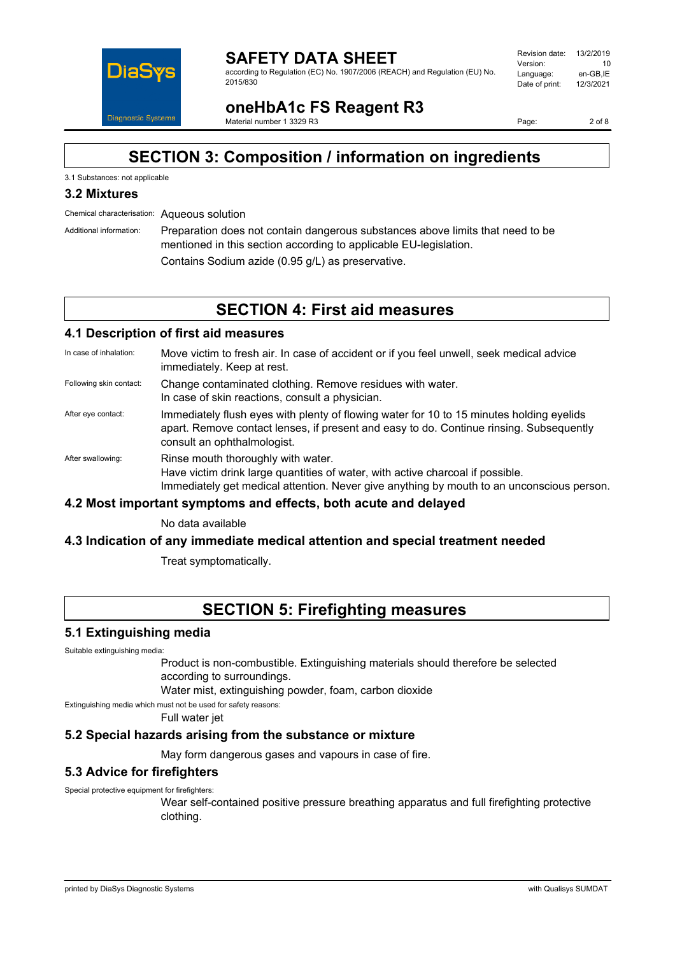

#### **SAFETY DATA SHEET** according to Regulation (EC) No. 1907/2006 (REACH) and Regulation (EU) No. 2015/830

| Revision date: | 13/2/2019 |
|----------------|-----------|
| Version:       | 10        |
| Language:      | en-GB.IE  |
| Date of print: | 12/3/2021 |
|                |           |

**oneHbA1c FS Reagent R3** Material number 1 3329 R3

Page: 2 of 8

# **SECTION 3: Composition / information on ingredients**

#### 3.1 Substances: not applicable

## **3.2 Mixtures**

Chemical characterisation: Aqueous solution

Additional information: Preparation does not contain dangerous substances above limits that need to be mentioned in this section according to applicable EU-legislation. Contains Sodium azide (0.95 g/L) as preservative.

# **SECTION 4: First aid measures**

#### **4.1 Description of first aid measures**

- In case of inhalation: Move victim to fresh air. In case of accident or if you feel unwell, seek medical advice immediately. Keep at rest.
- Following skin contact: Change contaminated clothing. Remove residues with water. In case of skin reactions, consult a physician.
- After eye contact: Immediately flush eyes with plenty of flowing water for 10 to 15 minutes holding eyelids apart. Remove contact lenses, if present and easy to do. Continue rinsing. Subsequently consult an ophthalmologist.
- After swallowing: Rinse mouth thoroughly with water. Have victim drink large quantities of water, with active charcoal if possible. Immediately get medical attention. Never give anything by mouth to an unconscious person.

#### **4.2 Most important symptoms and effects, both acute and delayed**

No data available

#### **4.3 Indication of any immediate medical attention and special treatment needed**

Treat symptomatically.

# **SECTION 5: Firefighting measures**

#### **5.1 Extinguishing media**

Suitable extinguishing media:

Product is non-combustible. Extinguishing materials should therefore be selected according to surroundings.

Water mist, extinguishing powder, foam, carbon dioxide

Extinguishing media which must not be used for safety reasons:

Full water jet

#### **5.2 Special hazards arising from the substance or mixture**

May form dangerous gases and vapours in case of fire.

#### **5.3 Advice for firefighters**

Special protective equipment for firefighters:

Wear self-contained positive pressure breathing apparatus and full firefighting protective clothing.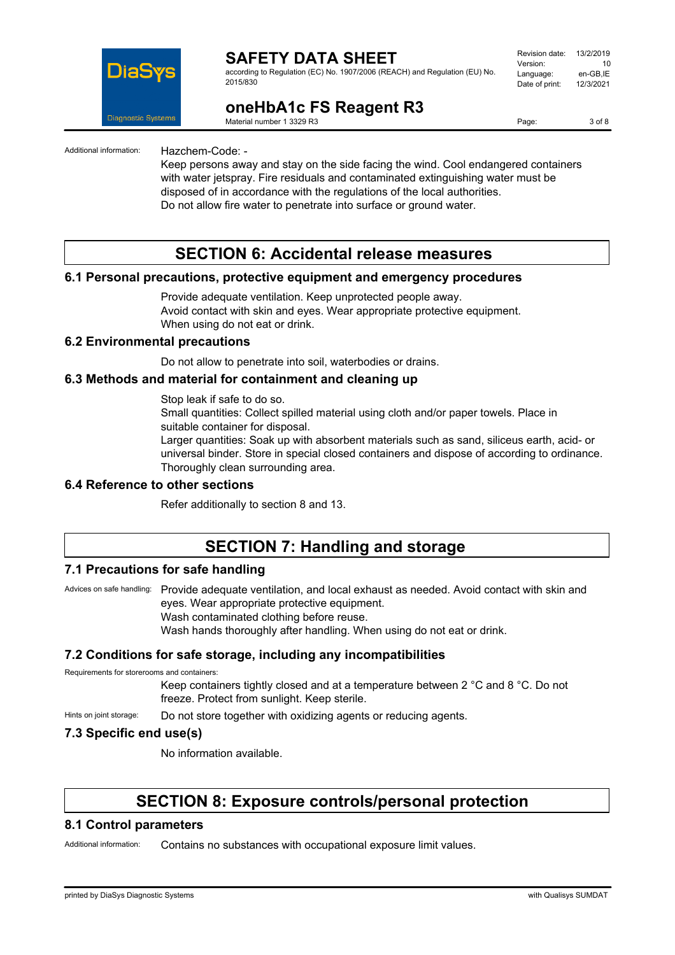

according to Regulation (EC) No. 1907/2006 (REACH) and Regulation (EU) No. 2015/830

| Revision date: | 13/2/2019 |
|----------------|-----------|
| Version:       | 10        |
| Language:      | en-GB.IE  |
| Date of print: | 12/3/2021 |
|                |           |

## **oneHbA1c FS Reagent R3**

Material number 1 3329 R3

Page: 3 of 8

Additional information: Hazchem-Code: -

Keep persons away and stay on the side facing the wind. Cool endangered containers with water jetspray. Fire residuals and contaminated extinguishing water must be disposed of in accordance with the regulations of the local authorities. Do not allow fire water to penetrate into surface or ground water.

## **SECTION 6: Accidental release measures**

#### **6.1 Personal precautions, protective equipment and emergency procedures**

Provide adequate ventilation. Keep unprotected people away. Avoid contact with skin and eyes. Wear appropriate protective equipment. When using do not eat or drink.

#### **6.2 Environmental precautions**

Do not allow to penetrate into soil, waterbodies or drains.

#### **6.3 Methods and material for containment and cleaning up**

Stop leak if safe to do so.

Small quantities: Collect spilled material using cloth and/or paper towels. Place in suitable container for disposal.

Larger quantities: Soak up with absorbent materials such as sand, siliceus earth, acid- or universal binder. Store in special closed containers and dispose of according to ordinance. Thoroughly clean surrounding area.

#### **6.4 Reference to other sections**

Refer additionally to section 8 and 13.

# **SECTION 7: Handling and storage**

#### **7.1 Precautions for safe handling**

Advices on safe handling: Provide adequate ventilation, and local exhaust as needed. Avoid contact with skin and eyes. Wear appropriate protective equipment. Wash contaminated clothing before reuse.

Wash hands thoroughly after handling. When using do not eat or drink.

#### **7.2 Conditions for safe storage, including any incompatibilities**

Requirements for storerooms and containers:

Keep containers tightly closed and at a temperature between 2 °C and 8 °C. Do not freeze. Protect from sunlight. Keep sterile.

Hints on joint storage: Do not store together with oxidizing agents or reducing agents.

#### **7.3 Specific end use(s)**

No information available.

## **SECTION 8: Exposure controls/personal protection**

#### **8.1 Control parameters**

Additional information: Contains no substances with occupational exposure limit values.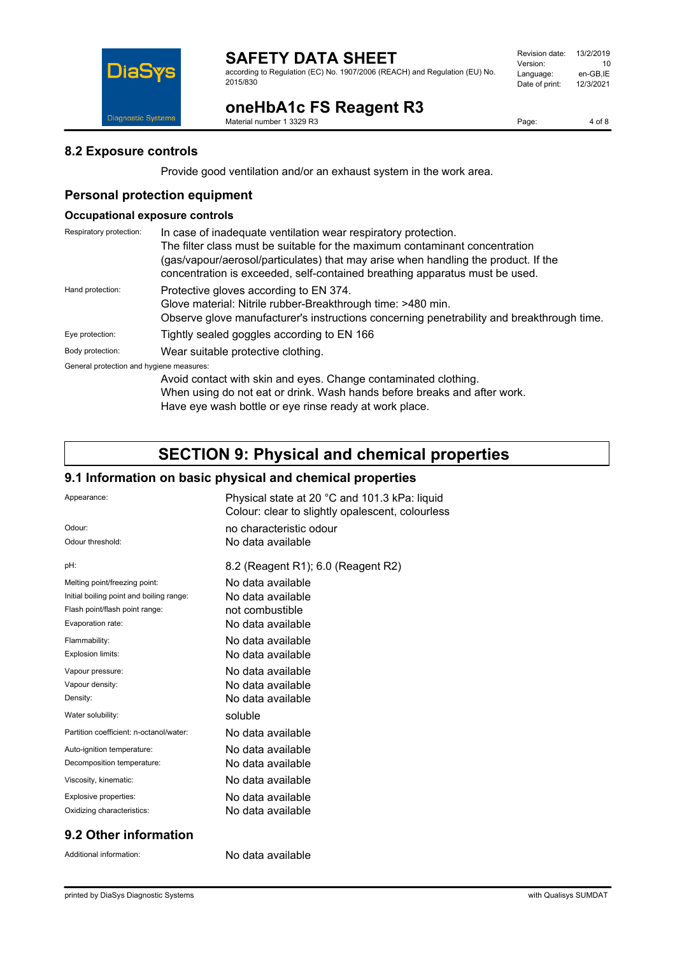

according to Regulation (EC) No. 1907/2006 (REACH) and Regulation (EU) No. 2015/830

| Revision date: | 13/2/2019 |
|----------------|-----------|
| Version:       | 10        |
| Language:      | en-GB.IE  |
| Date of print: | 12/3/2021 |
|                |           |

# **oneHbA1c FS Reagent R3**

Material number 1 3329 R3

Page: 4 of 8

### **8.2 Exposure controls**

Diagnostic Systems

**DiaS** 

Provide good ventilation and/or an exhaust system in the work area.

## **Personal protection equipment**

### **Occupational exposure controls**

| Respiratory protection:                  | In case of inadequate ventilation wear respiratory protection.                                                                                                    |  |  |
|------------------------------------------|-------------------------------------------------------------------------------------------------------------------------------------------------------------------|--|--|
|                                          | The filter class must be suitable for the maximum contaminant concentration                                                                                       |  |  |
|                                          | (gas/vapour/aerosol/particulates) that may arise when handling the product. If the<br>concentration is exceeded, self-contained breathing apparatus must be used. |  |  |
| Hand protection:                         | Protective gloves according to EN 374.                                                                                                                            |  |  |
|                                          | Glove material: Nitrile rubber-Breakthrough time: >480 min.                                                                                                       |  |  |
|                                          | Observe glove manufacturer's instructions concerning penetrability and breakthrough time.                                                                         |  |  |
| Eye protection:                          | Tightly sealed goggles according to EN 166                                                                                                                        |  |  |
| Body protection:                         | Wear suitable protective clothing.                                                                                                                                |  |  |
| General protection and hygiene measures: |                                                                                                                                                                   |  |  |
|                                          | Avoid contact with skin and eyes. Change contaminated clothing.<br>When using do not eat or drink. Wash hands before breaks and after work.                       |  |  |
|                                          |                                                                                                                                                                   |  |  |

Have eye wash bottle or eye rinse ready at work place.

## **SECTION 9: Physical and chemical properties**

## **9.1 Information on basic physical and chemical properties**

| Appearance:                              | Physical state at 20 °C and 101.3 kPa: liquid<br>Colour: clear to slightly opalescent, colourless |
|------------------------------------------|---------------------------------------------------------------------------------------------------|
| Odour:                                   | no characteristic odour                                                                           |
| Odour threshold:                         | No data available                                                                                 |
| pH:                                      | 8.2 (Reagent R1); 6.0 (Reagent R2)                                                                |
| Melting point/freezing point:            | No data available                                                                                 |
| Initial boiling point and boiling range: | No data available                                                                                 |
| Flash point/flash point range:           | not combustible                                                                                   |
| Evaporation rate:                        | No data available                                                                                 |
| Flammability:                            | No data available                                                                                 |
| <b>Explosion limits:</b>                 | No data available                                                                                 |
| Vapour pressure:                         | No data available                                                                                 |
| Vapour density:                          | No data available                                                                                 |
| Density:                                 | No data available                                                                                 |
| Water solubility:                        | soluble                                                                                           |
| Partition coefficient: n-octanol/water:  | No data available                                                                                 |
| Auto-ignition temperature:               | No data available                                                                                 |
| Decomposition temperature:               | No data available                                                                                 |
| Viscosity, kinematic:                    | No data available                                                                                 |
| Explosive properties:                    | No data available                                                                                 |
| Oxidizing characteristics:               | No data available                                                                                 |
|                                          |                                                                                                   |

#### **9.2 Other information**

Additional information: No data available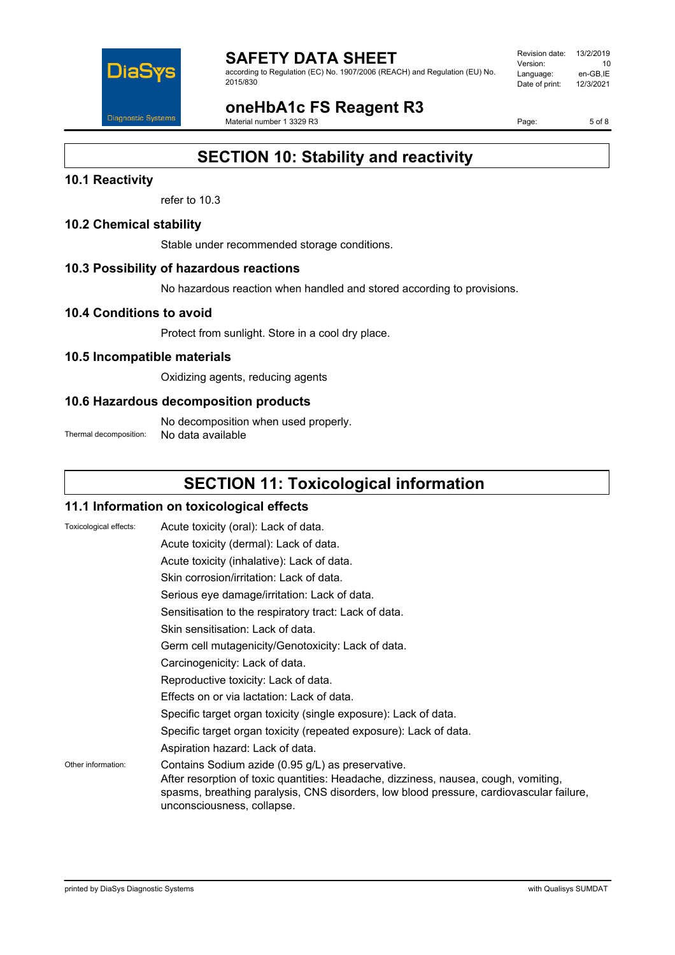

according to Regulation (EC) No. 1907/2006 (REACH) and Regulation (EU) No. 2015/830

| Revision date: | 13/2/2019 |
|----------------|-----------|
| Version:       | 10        |
| Language:      | en-GB.IE  |
| Date of print: | 12/3/2021 |
|                |           |

**oneHbA1c FS Reagent R3**

Material number 1 3329 R3

Page: 5 of 8

# **SECTION 10: Stability and reactivity**

## **10.1 Reactivity**

refer to 10.3

#### **10.2 Chemical stability**

Stable under recommended storage conditions.

### **10.3 Possibility of hazardous reactions**

No hazardous reaction when handled and stored according to provisions.

#### **10.4 Conditions to avoid**

Protect from sunlight. Store in a cool dry place.

### **10.5 Incompatible materials**

Oxidizing agents, reducing agents

### **10.6 Hazardous decomposition products**

No decomposition when used properly. Thermal decomposition: No data available

# **SECTION 11: Toxicological information**

#### **11.1 Information on toxicological effects**

| Toxicological effects: | Acute toxicity (oral): Lack of data.                                                                                                                                                                                                                              |
|------------------------|-------------------------------------------------------------------------------------------------------------------------------------------------------------------------------------------------------------------------------------------------------------------|
|                        | Acute toxicity (dermal): Lack of data.                                                                                                                                                                                                                            |
|                        | Acute toxicity (inhalative): Lack of data.                                                                                                                                                                                                                        |
|                        | Skin corrosion/irritation: Lack of data.                                                                                                                                                                                                                          |
|                        | Serious eye damage/irritation: Lack of data.                                                                                                                                                                                                                      |
|                        | Sensitisation to the respiratory tract: Lack of data.                                                                                                                                                                                                             |
|                        | Skin sensitisation: Lack of data.                                                                                                                                                                                                                                 |
|                        | Germ cell mutagenicity/Genotoxicity: Lack of data.                                                                                                                                                                                                                |
|                        | Carcinogenicity: Lack of data.                                                                                                                                                                                                                                    |
|                        | Reproductive toxicity: Lack of data.                                                                                                                                                                                                                              |
|                        | Effects on or via lactation: Lack of data.                                                                                                                                                                                                                        |
|                        | Specific target organ toxicity (single exposure): Lack of data.                                                                                                                                                                                                   |
|                        | Specific target organ toxicity (repeated exposure): Lack of data.                                                                                                                                                                                                 |
|                        | Aspiration hazard: Lack of data.                                                                                                                                                                                                                                  |
| Other information:     | Contains Sodium azide (0.95 g/L) as preservative.<br>After resorption of toxic quantities: Headache, dizziness, nausea, cough, vomiting,<br>spasms, breathing paralysis, CNS disorders, low blood pressure, cardiovascular failure,<br>unconsciousness, collapse. |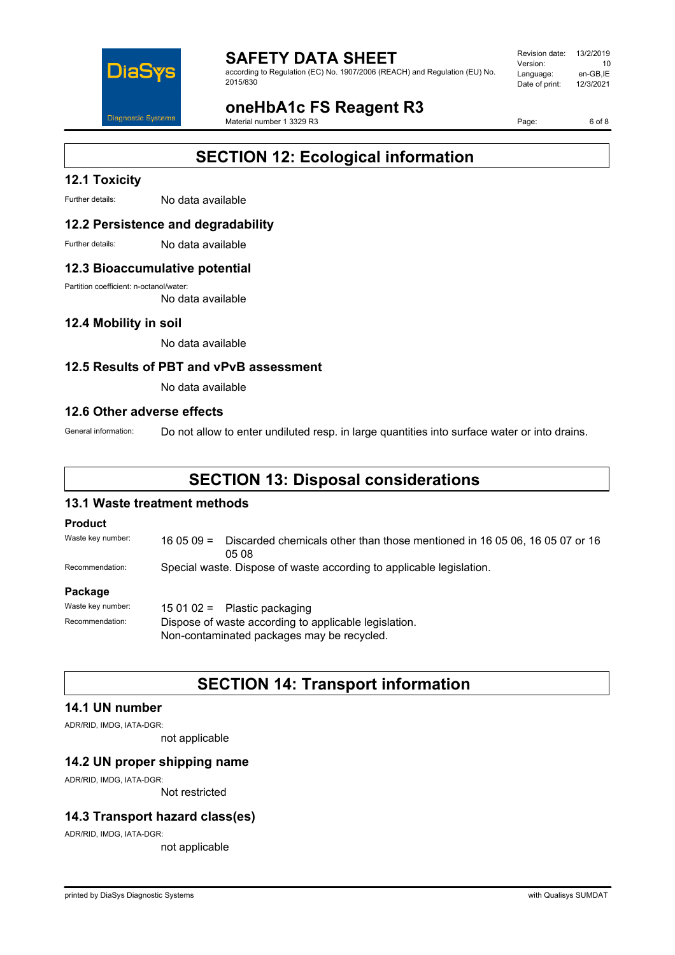

according to Regulation (EC) No. 1907/2006 (REACH) and Regulation (EU) No. 2015/830

| Revision date: | 13/2/2019 |
|----------------|-----------|
| Version:       | 10        |
| Language:      | en-GB.IE  |
| Date of print: | 12/3/2021 |
|                |           |

**oneHbA1c FS Reagent R3**

Material number 1 3329 R3

Page: 6 of 8

# **SECTION 12: Ecological information**

## **12.1 Toxicity**

Further details: No data available

### **12.2 Persistence and degradability**

Further details: No data available

#### **12.3 Bioaccumulative potential**

Partition coefficient: n-octanol/water:

No data available

#### **12.4 Mobility in soil**

No data available

### **12.5 Results of PBT and vPvB assessment**

No data available

#### **12.6 Other adverse effects**

General information: Do not allow to enter undiluted resp. in large quantities into surface water or into drains.

# **SECTION 13: Disposal considerations**

### **13.1 Waste treatment methods**

#### **Product**

Waste key number: 16 05 09 = Discarded chemicals other than those mentioned in 16 05 06, 16 05 07 or 16 05 08

Recommendation: Special waste. Dispose of waste according to applicable legislation.

#### **Package**

| Waste key number: | 15 01 02 = Plastic packaging                          |  |
|-------------------|-------------------------------------------------------|--|
| Recommendation:   | Dispose of waste according to applicable legislation. |  |
|                   | Non-contaminated packages may be recycled.            |  |

## **SECTION 14: Transport information**

#### **14.1 UN number**

ADR/RID, IMDG, IATA-DGR:

not applicable

### **14.2 UN proper shipping name**

ADR/RID, IMDG, IATA-DGR:

Not restricted

#### **14.3 Transport hazard class(es)**

ADR/RID, IMDG, IATA-DGR:

not applicable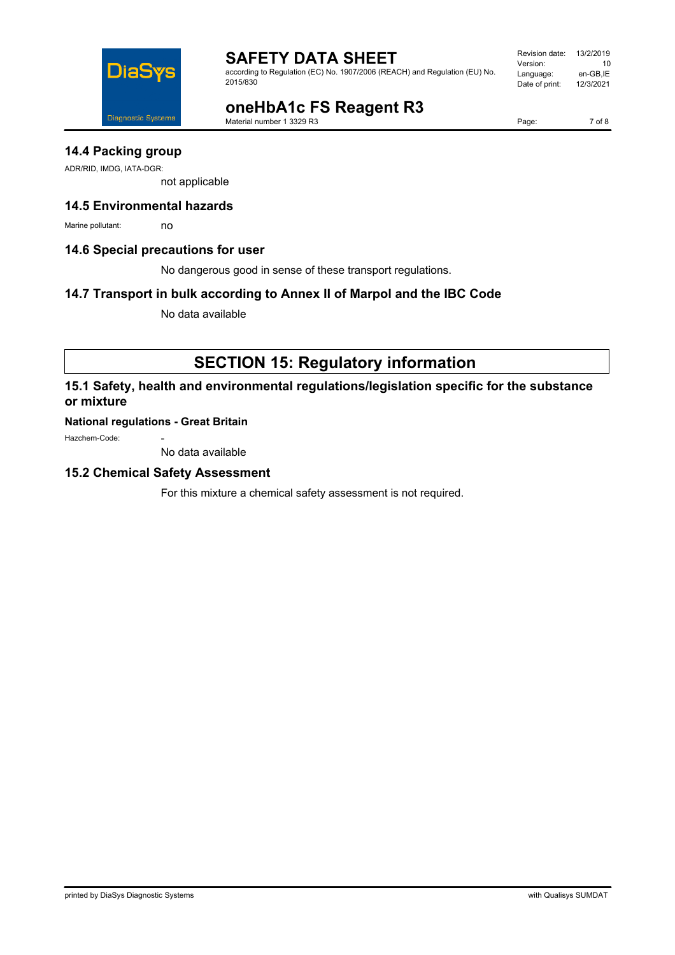

according to Regulation (EC) No. 1907/2006 (REACH) and Regulation (EU) No. 2015/830

| Revision date: | 13/2/2019 |
|----------------|-----------|
| Version:       | 10        |
| Language:      | en-GB.IE  |
| Date of print: | 12/3/2021 |
|                |           |

# **oneHbA1c FS Reagent R3**

Material number 1 3329 R3

Page: 7 of 8

## **14.4 Packing group**

ADR/RID, IMDG, IATA-DGR:

not applicable

## **14.5 Environmental hazards**

Marine pollutant: no

#### **14.6 Special precautions for user**

No dangerous good in sense of these transport regulations.

### **14.7 Transport in bulk according to Annex II of Marpol and the IBC Code**

No data available

# **SECTION 15: Regulatory information**

## **15.1 Safety, health and environmental regulations/legislation specific for the substance or mixture**

#### **National regulations - Great Britain**

Hazchem-Code:

No data available

#### **15.2 Chemical Safety Assessment**

For this mixture a chemical safety assessment is not required.